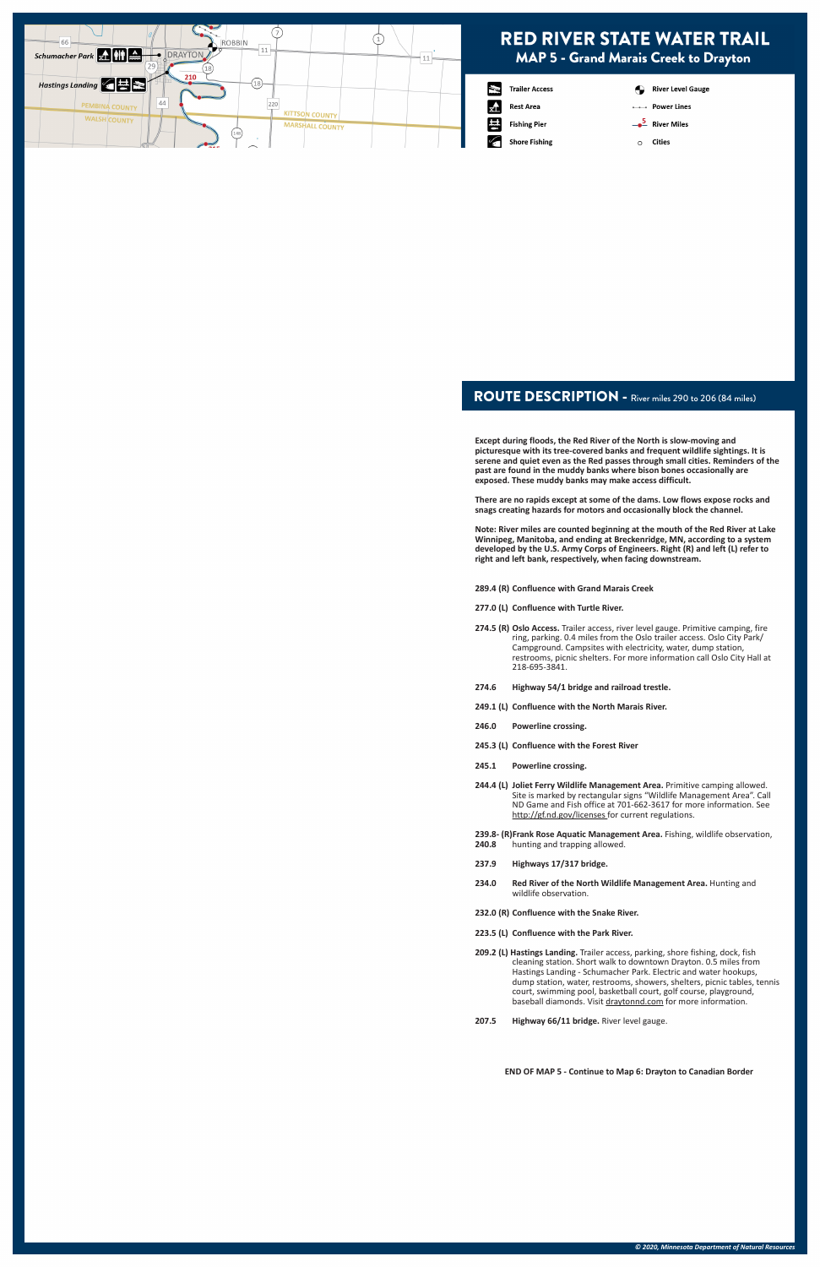## ROUTE DESCRIPTION - River miles 290 to 206 (84 miles)

**Except during floods, the Red River of the North is slow-moving and picturesque with its tree-covered banks and frequent wildlife sightings. It is serene and quiet even as the Red passes through small cities. Reminders of the past are found in the muddy banks where bison bones occasionally are exposed. These muddy banks may make access difficult.** 

**There are no rapids except at some of the dams. Low flows expose rocks and snags creating hazards for motors and occasionally block the channel.**

**Note: River miles are counted beginning at the mouth of the Red River at Lake Winnipeg, Manitoba, and ending at Breckenridge, MN, according to a system developed by the U.S. Army Corps of Engineers. Right (R) and left (L) refer to right and left bank, respectively, when facing downstream.**

**289.4 (R) Confluence with Grand Marais Creek**

**209.2 (L) Hastings Landing.** Trailer access, parking, shore fishing, dock, fish cleaning station. Short walk to downtown Drayton. 0.5 miles from Hastings Landing - Schumacher Park. Electric and water hookups, dump station, water, restrooms, showers, shelters, picnic tables, tennis court, swimming pool, basketball court, golf course, playground, baseball diamonds. Visit draytonnd.com for more information.

- **277.0 (L) Confluence with Turtle River.**
- **274.5 (R) Oslo Access.** Trailer access, river level gauge. Primitive camping, fire ring, parking. 0.4 miles from the Oslo trailer access. Oslo City Park/ Campground. Campsites with electricity, water, dump station, restrooms, picnic shelters. For more information call Oslo City Hall at 218-695-3841.
- **274.6 Highway 54/1 bridge and railroad trestle.**
- **249.1 (L) Confluence with the North Marais River.**
- **246.0 Powerline crossing.**
- **245.3 (L) Confluence with the Forest River**
- **245.1 Powerline crossing.**
- **244.4 (L) Joliet Ferry Wildlife Management Area.** Primitive camping allowed. Site is marked by rectangular signs "Wildlife Management Area". Call ND Game and Fish office at 701-662-3617 for more information. See http://gf.nd.gov/licenses for current regulations.
- **239.8- (R)Frank Rose Aquatic Management Area.** Fishing, wildlife observation, **240.8** hunting and trapping allowed.
- **237.9 Highways 17/317 bridge.**
- **234.0 Red River of the North Wildlife Management Area.** Hunting and wildlife observation.

**232.0 (R) Confluence with the Snake River.**

### **223.5 (L) Confluence with the Park River.**

**207.5 Highway 66/11 bridge.** River level gauge.

**END OF MAP 5 - Continue to Map 6: Drayton to Canadian Border**